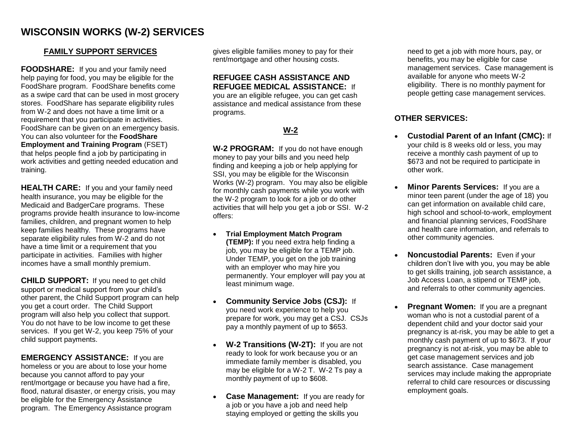## **WISCONSIN WORKS (W-2) SERVICES**

#### **FAMILY SUPPORT SERVICES**

**FOODSHARE:** If you and your family need help paying for food, you may be eligible for the FoodShare program. FoodShare benefits come as a swipe card that can be used in most grocery stores. FoodShare has separate eligibility rules from W-2 and does not have a time limit or a requirement that you participate in activities. FoodShare can be given on an emergency basis. You can also volunteer for the **FoodShare Employment and Training Program** (FSET) that helps people find a job by participating in work activities and getting needed education and training.

**HEALTH CARE:** If you and your family need health insurance, you may be eligible for the Medicaid and BadgerCare programs. These programs provide health insurance to low-income families, children, and pregnant women to help keep families healthy. These programs have separate eligibility rules from W-2 and do not have a time limit or a requirement that you participate in activities. Families with higher incomes have a small monthly premium.

**CHILD SUPPORT:** If you need to get child support or medical support from your child's other parent, the Child Support program can help you get a court order. The Child Support program will also help you collect that support. You do not have to be low income to get these services. If you get W-2, you keep 75% of your child support payments.

**EMERGENCY ASSISTANCE:** If you are homeless or you are about to lose your home because you cannot afford to pay your rent/mortgage or because you have had a fire, flood, natural disaster, or energy crisis, you may be eligible for the Emergency Assistance program. The Emergency Assistance program

gives eligible families money to pay for their rent/mortgage and other housing costs.

#### **REFUGEE CASH ASSISTANCE AND REFUGEE MEDICAL ASSISTANCE:** If

you are an eligible refugee, you can get cash assistance and medical assistance from these programs.

### **W-2**

**W-2 PROGRAM:** If you do not have enough money to pay your bills and you need help finding and keeping a job or help applying for SSI, you may be eligible for the Wisconsin Works (W-2) program. You may also be eligible for monthly cash payments while you work with the W-2 program to look for a job or do other activities that will help you get a job or SSI. W-2 offers:

- **Trial Employment Match Program (TEMP):** If you need extra help finding a job, you may be eligible for a TEMP job. Under TEMP, you get on the job training with an employer who may hire you permanently. Your employer will pay you at least minimum wage.
- **Community Service Jobs (CSJ):** If you need work experience to help you prepare for work, you may get a CSJ. CSJs pay a monthly payment of up to \$653.
- **W-2 Transitions (W-2T):** If you are not ready to look for work because you or an immediate family member is disabled, you may be eligible for a W-2 T. W-2 Ts pay a monthly payment of up to \$608.
- **Case Management:** If you are ready for a job or you have a job and need help staying employed or getting the skills you

need to get a job with more hours, pay, or benefits, you may be eligible for case management services. Case management is available for anyone who meets W-2 eligibility. There is no monthly payment for people getting case management services.

#### **OTHER SERVICES:**

- **Custodial Parent of an Infant (CMC):** If your child is 8 weeks old or less, you may receive a monthly cash payment of up to \$673 and not be required to participate in other work.
- **Minor Parents Services:** If you are a minor teen parent (under the age of 18) you can get information on available child care, high school and school-to-work, employment and financial planning services, FoodShare and health care information, and referrals to other community agencies.
- **Noncustodial Parents: Even if your** children don't live with you, you may be able to get skills training, job search assistance, a Job Access Loan, a stipend or TEMP job, and referrals to other community agencies.
- **Pregnant Women:** If you are a pregnant woman who is not a custodial parent of a dependent child and your doctor said your pregnancy is at-risk, you may be able to get a monthly cash payment of up to \$673. If your pregnancy is not at-risk, you may be able to get case management services and job search assistance. Case management services may include making the appropriate referral to child care resources or discussing employment goals.